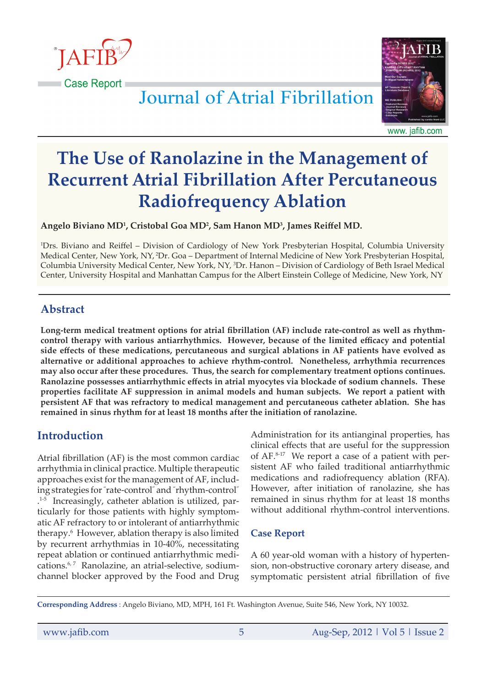

Journal of Atrial Fibrillation



www. jafib.com

# **The Use of Ranolazine in the Management of Recurrent Atrial Fibrillation After Percutaneous Radiofrequency Ablation**

**Angelo Biviano MD1 , Cristobal Goa MD2 , Sam Hanon MD3 , James Reiffel MD.**

1 Drs. Biviano and Reiffel – Division of Cardiology of New York Presbyterian Hospital, Columbia University Medical Center, New York, NY, 2Dr. Goa – Department of Internal Medicine of New York Presbyterian Hospital, Columbia University Medical Center, New York, NY, <sup>3</sup>Dr. Hanon – Division of Cardiology of Beth Israel Medical Center, University Hospital and Manhattan Campus for the Albert Einstein College of Medicine, New York, NY

# **Abstract**

**Long-term medical treatment options for atrial fibrillation (AF) include rate-control as well as rhythmcontrol therapy with various antiarrhythmics. However, because of the limited efficacy and potential side effects of these medications, percutaneous and surgical ablations in AF patients have evolved as alternative or additional approaches to achieve rhythm-control. Nonetheless, arrhythmia recurrences may also occur after these procedures. Thus, the search for complementary treatment options continues. Ranolazine possesses antiarrhythmic effects in atrial myocytes via blockade of sodium channels. These properties facilitate AF suppression in animal models and human subjects. We report a patient with persistent AF that was refractory to medical management and percutaneous catheter ablation. She has remained in sinus rhythm for at least 18 months after the initiation of ranolazine.**

# **Introduction**

Atrial fibrillation (AF) is the most common cardiac arrhythmia in clinical practice. Multiple therapeutic approaches exist for the management of AF, including strategies for " rate-control" and " rhythm-control" . 1-5 Increasingly, catheter ablation is utilized, particularly for those patients with highly symptomatic AF refractory to or intolerant of antiarrhythmic therapy.<sup>6</sup> However, ablation therapy is also limited by recurrent arrhythmias in 10-40%, necessitating repeat ablation or continued antiarrhythmic medications.<sup>6,7</sup> Ranolazine, an atrial-selective, sodiumchannel blocker approved by the Food and Drug

Administration for its antianginal properties, has clinical effects that are useful for the suppression of AF.8-17 We report a case of a patient with persistent AF who failed traditional antiarrhythmic medications and radiofrequency ablation (RFA). However, after initiation of ranolazine, she has remained in sinus rhythm for at least 18 months without additional rhythm-control interventions.

#### **Case Report**

A 60 year-old woman with a history of hypertension, non-obstructive coronary artery disease, and symptomatic persistent atrial fibrillation of five

**Corresponding Address** : Angelo Biviano, MD, MPH, 161 Ft. Washington Avenue, Suite 546, New York, NY 10032.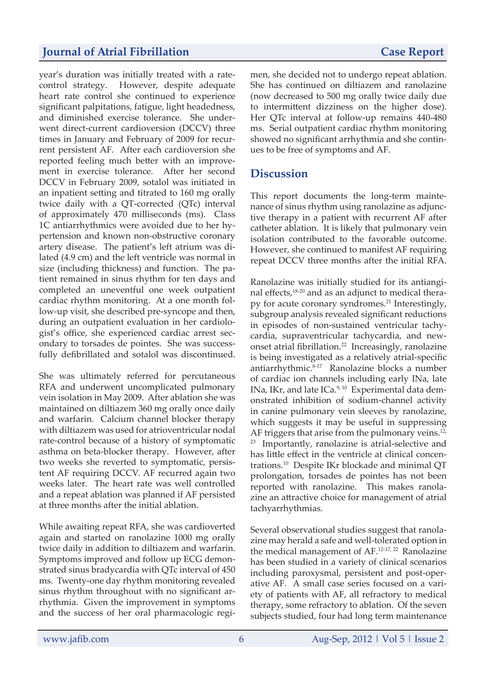# *Journal of Atrial Fibrillation* **Case Report**

year's duration was initially treated with a ratecontrol strategy. However, despite adequate heart rate control she continued to experience significant palpitations, fatigue, light headedness, and diminished exercise tolerance. She underwent direct-current cardioversion (DCCV) three times in January and February of 2009 for recurrent persistent AF. After each cardioversion she reported feeling much better with an improvement in exercise tolerance. After her second DCCV in February 2009, sotalol was initiated in an inpatient setting and titrated to 160 mg orally twice daily with a QT-corrected (QTc) interval of approximately 470 milliseconds (ms). Class 1C antiarrhythmics were avoided due to her hypertension and known non-obstructive coronary artery disease. The patient's left atrium was dilated (4.9 cm) and the left ventricle was normal in size (including thickness) and function. The patient remained in sinus rhythm for ten days and completed an uneventful one week outpatient cardiac rhythm monitoring. At a one month follow-up visit, she described pre-syncope and then, during an outpatient evaluation in her cardiologist's office, she experienced cardiac arrest secondary to torsades de pointes. She was successfully defibrillated and sotalol was discontinued.

She was ultimately referred for percutaneous RFA and underwent uncomplicated pulmonary vein isolation in May 2009. After ablation she was maintained on diltiazem 360 mg orally once daily and warfarin. Calcium channel blocker therapy with diltiazem was used for atrioventricular nodal rate-control because of a history of symptomatic asthma on beta-blocker therapy. However, after two weeks she reverted to symptomatic, persistent AF requiring DCCV. AF recurred again two weeks later. The heart rate was well controlled and a repeat ablation was planned if AF persisted at three months after the initial ablation.

While awaiting repeat RFA, she was cardioverted again and started on ranolazine 1000 mg orally twice daily in addition to diltiazem and warfarin. Symptoms improved and follow up ECG demonstrated sinus bradycardia with QTc interval of 450 ms. Twenty-one day rhythm monitoring revealed sinus rhythm throughout with no significant arrhythmia. Given the improvement in symptoms and the success of her oral pharmacologic regi-

men, she decided not to undergo repeat ablation. She has continued on diltiazem and ranolazine (now decreased to 500 mg orally twice daily due to intermittent dizziness on the higher dose). Her QTc interval at follow-up remains 440-480 ms. Serial outpatient cardiac rhythm monitoring showed no significant arrhythmia and she continues to be free of symptoms and AF.

#### **Discussion**

This report documents the long-term maintenance of sinus rhythm using ranolazine as adjunctive therapy in a patient with recurrent AF after catheter ablation. It is likely that pulmonary vein isolation contributed to the favorable outcome. However, she continued to manifest AF requiring repeat DCCV three months after the initial RFA.

Ranolazine was initially studied for its antianginal effects,18-20 and as an adjunct to medical therapy for acute coronary syndromes. $^{21}$  Interestingly, subgroup analysis revealed significant reductions in episodes of non-sustained ventricular tachycardia, supraventricular tachycardia, and newonset atrial fibrillation.22 Increasingly, ranolazine is being investigated as a relatively atrial-specific antiarrhythmic.8-17 Ranolazine blocks a number of cardiac ion channels including early INa, late INa, IKr, and late ICa.<sup>9, 10</sup> Experimental data demonstrated inhibition of sodium-channel activity in canine pulmonary vein sleeves by ranolazine, which suggests it may be useful in suppressing AF triggers that arise from the pulmonary veins.<sup>12,</sup> <sup>23</sup> Importantly, ranolazine is atrial-selective and has little effect in the ventricle at clinical concentrations.10 Despite IKr blockade and minimal QT prolongation, torsades de pointes has not been reported with ranolazine. This makes ranolazine an attractive choice for management of atrial tachyarrhythmias.

Several observational studies suggest that ranolazine may herald a safe and well-tolerated option in the medical management of AF.12-17, 22 Ranolazine has been studied in a variety of clinical scenarios including paroxysmal, persistent and post-operative AF. A small case series focused on a variety of patients with AF, all refractory to medical therapy, some refractory to ablation. Of the seven subjects studied, four had long term maintenance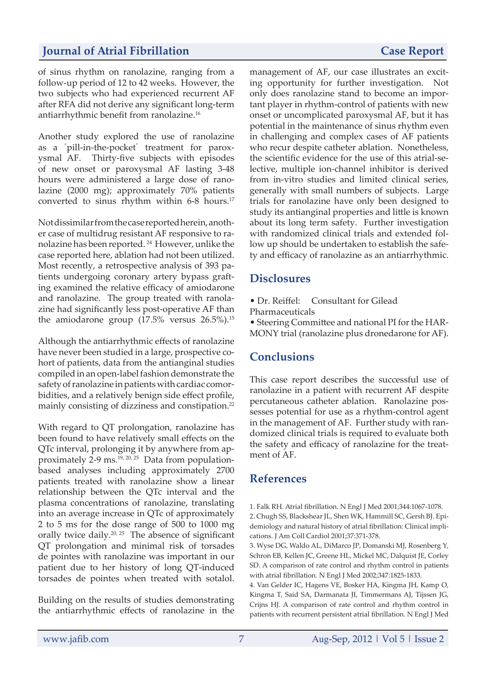# **Journal of Atrial Fibrillation Case Report**

of sinus rhythm on ranolazine, ranging from a follow-up period of 12 to 42 weeks. However, the two subjects who had experienced recurrent AF after RFA did not derive any significant long-term antiarrhythmic benefit from ranolazine.<sup>16</sup>

Another study explored the use of ranolazine as a " pill-in-the-pocket" treatment for paroxysmal AF. Thirty-five subjects with episodes of new onset or paroxysmal AF lasting 3-48 hours were administered a large dose of ranolazine (2000 mg); approximately 70% patients converted to sinus rhythm within 6-8 hours.<sup>17</sup>

Not dissimilar from the case reported herein, another case of multidrug resistant AF responsive to ranolazine has been reported. 24 However, unlike the case reported here, ablation had not been utilized. Most recently, a retrospective analysis of 393 patients undergoing coronary artery bypass grafting examined the relative efficacy of amiodarone and ranolazine. The group treated with ranolazine had significantly less post-operative AF than the amiodarone group  $(17.5\% \text{ versus } 26.5\%).^{15}$ 

Although the antiarrhythmic effects of ranolazine have never been studied in a large, prospective cohort of patients, data from the antianginal studies compiled in an open-label fashion demonstrate the safety of ranolazine in patients with cardiac comorbidities, and a relatively benign side effect profile, mainly consisting of dizziness and constipation.<sup>22</sup>

With regard to QT prolongation, ranolazine has been found to have relatively small effects on the QTc interval, prolonging it by anywhere from approximately  $2-9$  ms.<sup>19, 20, 25</sup> Data from populationbased analyses including approximately 2700 patients treated with ranolazine show a linear relationship between the QTc interval and the plasma concentrations of ranolazine, translating into an average increase in QTc of approximately 2 to 5 ms for the dose range of 500 to 1000 mg orally twice daily.20, 25 The absence of significant QT prolongation and minimal risk of torsades de pointes with ranolazine was important in our patient due to her history of long QT-induced torsades de pointes when treated with sotalol.

Building on the results of studies demonstrating the antiarrhythmic effects of ranolazine in the management of AF, our case illustrates an exciting opportunity for further investigation. Not only does ranolazine stand to become an important player in rhythm-control of patients with new onset or uncomplicated paroxysmal AF, but it has potential in the maintenance of sinus rhythm even in challenging and complex cases of AF patients who recur despite catheter ablation. Nonetheless, the scientific evidence for the use of this atrial-selective, multiple ion-channel inhibitor is derived from in-vitro studies and limited clinical series, generally with small numbers of subjects. Large trials for ranolazine have only been designed to study its antianginal properties and little is known about its long term safety. Further investigation with randomized clinical trials and extended follow up should be undertaken to establish the safety and efficacy of ranolazine as an antiarrhythmic.

#### **Disclosures**

- Dr. Reiffel: Consultant for Gilead
- Pharmaceuticals

• Steering Committee and national PI for the HAR-MONY trial (ranolazine plus dronedarone for AF).

# **Conclusions**

This case report describes the successful use of ranolazine in a patient with recurrent AF despite percutaneous catheter ablation. Ranolazine possesses potential for use as a rhythm-control agent in the management of AF. Further study with randomized clinical trials is required to evaluate both the safety and efficacy of ranolazine for the treatment of AF.

# **References**

1. Falk RH. Atrial fibrillation. N Engl J Med 2001;344:1067-1078. 2. Chugh SS, Blackshear JL, Shen WK, Hammill SC, Gersh BJ. Epidemiology and natural history of atrial fibrillation: Clinical implications. J Am Coll Cardiol 2001;37:371-378.

3. Wyse DG, Waldo AL, DiMarco JP, Domanski MJ, Rosenberg Y, Schron EB, Kellen JC, Greene HL, Mickel MC, Dalquist JE, Corley SD. A comparison of rate control and rhythm control in patients with atrial fibrillation. N Engl J Med 2002;347:1825-1833.

4. Van Gelder IC, Hagens VE, Bosker HA, Kingma JH, Kamp O, Kingma T, Said SA, Darmanata JI, Timmermans AJ, Tijssen JG, Crijns HJ. A comparison of rate control and rhythm control in patients with recurrent persistent atrial fibrillation. N Engl J Med